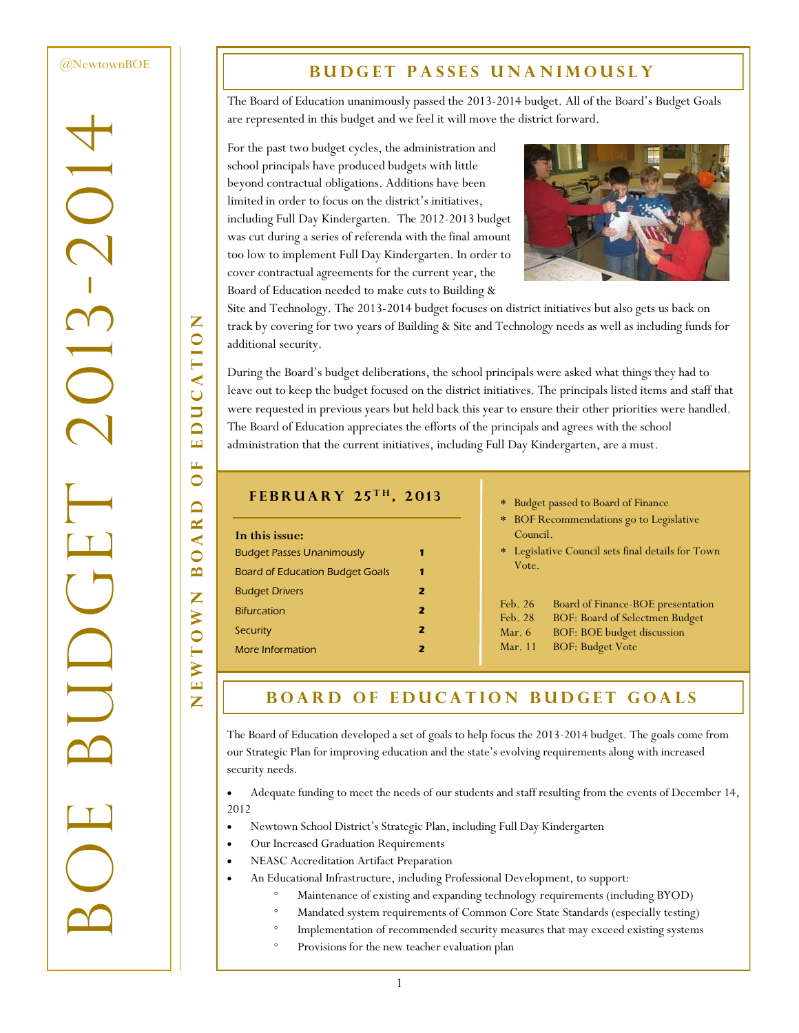#### [@NewtownBOE](http://twitter.com/NewtownBoE)

-2014

 $\overline{\bigcirc}$ 

BOE BUDGET 2013

S<br>S

# **BUDGET PASSES UNANIMOUSLY**

The Board of Education unanimously passed the 2013-2014 budget. All of the Board's Budget Goals are represented in this budget and we feel it will move the district forward.

For the past two budget cycles, the administration and school principals have produced budgets with little beyond contractual obligations. Additions have been limited in order to focus on the district's initiatives, including Full Day Kindergarten. The 2012-2013 budget was cut during a series of referenda with the final amount too low to implement Full Day Kindergarten. In order to cover contractual agreements for the current year, the Board of Education needed to make cuts to Building &



Site and Technology. The 2013-2014 budget focuses on district initiatives but also gets us back on track by covering for two years of Building & Site and Technology needs as well as including funds for additional security.

During the Board's budget deliberations, the school principals were asked what things they had to leave out to keep the budget focused on the district initiatives. The principals listed items and staff that were requested in previous years but held back this year to ensure their other priorities were handled. The Board of Education appreciates the efforts of the principals and agrees with the school administration that the current initiatives, including Full Day Kindergarten, are a must.

### **F e b r u a r y 2 5 t h , 2 0 1 3**

| In this issue:                         |   |
|----------------------------------------|---|
| <b>Budget Passes Unanimously</b>       | 1 |
| <b>Board of Education Budget Goals</b> | 1 |
| <b>Budget Drivers</b>                  | 2 |
| <b>Bifurcation</b>                     | 2 |
| Security                               | 2 |
| More Information                       |   |

#### Budget passed to Board of Finance

- BOF Recommendations go to Legislative Council.
- Legislative Council sets final details for Town Vote.

| Feb. 26  | Board of Finance-BOE presentation |
|----------|-----------------------------------|
| Feb. 28  | BOF: Board of Selectmen Budget    |
| Mar. $6$ | <b>BOF: BOE budget discussion</b> |
| Mar. 11  | <b>BOF: Budget Vote</b>           |

# **BOARD OF EDUCATION BUDGET GOALS**

The Board of Education developed a set of goals to help focus the 2013-2014 budget. The goals come from our Strategic Plan for improving education and the state's evolving requirements along with increased security needs.

 Adequate funding to meet the needs of our students and staff resulting from the events of December 14, 2012

- Newtown School District's Strategic Plan, including Full Day Kindergarten
- Our Increased Graduation Requirements
- NEASC Accreditation Artifact Preparation
- An Educational Infrastructure, including Professional Development, to support:
	- Maintenance of existing and expanding technology requirements (including BYOD)
	- Mandated system requirements of Common Core State Standards (especially testing)
	- Implementation of recommended security measures that may exceed existing systems
		- Provisions for the new teacher evaluation plan

Z NEWTOWN BOARD OF EDUCATION UCATIO  $\Delta$ .<br>ப  $\mathbf{L}$  $\bullet$  $\overline{\mathsf{d}}$  $\overline{\mathbf{K}}$  $\blacktriangleleft$  $\bigcirc$  $\overline{\mathbf{c}}$ Z WTOW

 $\mathbf{\Xi}$ Z